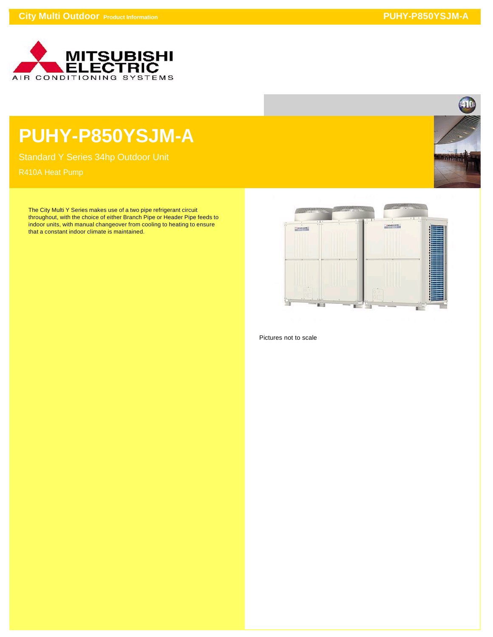

## **PUHY-P850YSJM-A**

Standard Y Series 34hp Outdoor Unit

The City Multi Y Series makes use of a two pipe refrigerant circuit throughout, with the choice of either Branch Pipe or Header Pipe feeds to indoor units, with manual changeover from cooling to heating to ensure that a constant indoor climate is maintained.





Pictures not to scale